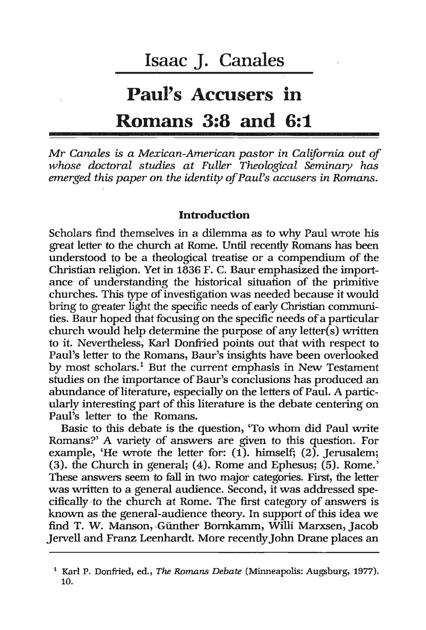# **Paul's Accusers in Romans 3:8 and 6:1**

Mr *Canales* is *a Mexican-American pastor in California out of*  whose doctoral studies at Fuller Theological Seminary has *emerged this paper on the identity of Paul's accusers in Romdns.* 

## **Introduction**

Scholars find themselves in a dilemma as to why Paul wrote his great letter to the church at Rome. Until recently Romans has been understood to be a theological treatise or a compendium of the Christian religion. Yet in 1836 F. C, Baur emphasized the import~ ance of understanding the historical situation of the primitive churches. This type of investigation was needed because it would bring to greater light the specific needs of early Christian communities. Baur hoped that focusing on the specific needs of a particular church would help determine the purpose of any letter(s) written to it. Nevertheless, Karl Donfiied points out that with respect to Paul's letter to the Romans, Baur's insights have been overlooked by most scholars.<sup>1</sup> But the current emphasis in New Testament studies on the importance of Baur's conclusions has produced an abundance of literature, especially on the letters of Paul. A particularly interesting part of this literature is the debate centering on Paul's letter to the Romans.

Basic to this debate is the question, 'To whom did Paul write Romans?' A variety of answers are given to this question. For . example, 'He wrote the letter for: (1). himself; (2). Jerusalem;  $(3)$ . the Church in general;  $(4)$ . Rome and Ephesus;  $(5)$ . Rome.' These answers seem to fall in two major categories. First, the letter was written to a general audience. Second, it was addressed specifically to the church at Rome. The first category of answers is known as.the general-audience theory. In support of this idea we find T. W. Manson, Günther Bornkamm, Willi Marxsen, Jacob Jervell and Franz Leenhardt. More recently John Drane places an

<sup>&</sup>lt;sup>1</sup> Karl P. Donfried, ed., *The Romans Debate* (Minneapolis: Augsburg, 1977).<br>10.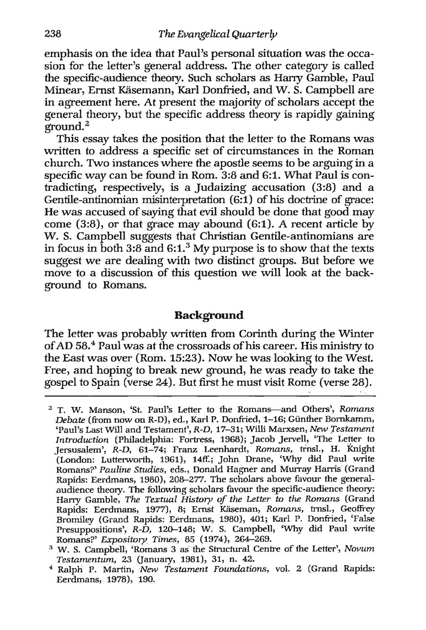emphasis on the idea that Paul's personal situation was the occasion for the letter's general address. The other category is called the specific-audience theory. Such scholars as Harry Gamble, Paul Minear, Ernst Käsemann, Karl Donfried, and W. S. Campbell are in agreement here. At present the majority of scholars accept the general theory, but the specific address theory is rapidly gaining  $eround.<sup>2</sup>$ 

This essay takes the position that the letter to the Romans was written to address a specific set of circumstances in the Roman church. Two instances where the apostle seems to be arguing in a specific way can be found in Rom. 3:8 and 6:1. What Paul is contradicting, respectively, is a Judaizing accusation (3:8) and a Gentile-antinomian misinterpretation (6:1) of his doctrine of grace: He was accused of saying that evil should be done that good may come (3:8), or that grace may abound (6:1). A recent article by W. S. Campbell suggests that Christian Gentile-antinomians are in focus in both 3:8 and  $6:1.^3$  My purpose is to show that the texts suggest we are dealing with two distinct groups. But before we move to a discussion of this question we will look at the background to Romans.

## **Background**

The letter was probably written from Corinth during the Winter of AD 58.4 Paul was at the crossroads of his career. His ministry to the East was over (Rom. 15:23). Now he was looking to the West. Free, and hoping to break new ground, he was ready to take the gospel to Spain (verse 24). But first he must visit Rome (verse 28).

<sup>&</sup>lt;sup>2</sup> T. W. Manson, 'St. Paul's Letter to the Romans-and Others', *Romans Debate* (from now on R-D), ed., Karl P. Donfiied, 1-16; Giinther Bornkamm, 'Paul's Last Will and Testament', R-D, 17-31; Willi Marxsen, *New Testament Introduction* (Philadelphia: Fortress, 1968); Jacob Jervell, 'The Letter to Jersusalem', R-D, 61-74; Franz Leenhardt, *Romans,* trnsl., H. Knight (London: Lutterworth, 1961), 14ff.; John Drane, 'Why did Paul write Romans?' Pauline Studies, eds., Donald Hagner and Murray Harris (Grand Rapids: Eerdmans, 1980), 208-277. The scholars above favour the generalaudience theory. The following scholars favour the specific-audience theory: Harry Gamble, *The Textual History of the* Letter to *the Romans* (Grand Rapids: Eerdmans, 1977), 8; Ernst Käseman, *Romans*, trnsl., Geoffrey Bromiley (Grand Rapids: Eerdmans, 1980), 401; Karl P. Donfried, 'False Presuppositions', R- $\dot{D}$ , 120-148; W. S. Campbell, 'Why did Paul write Romans?' *Expository\_Times,* 85 (1974),264-269.

<sup>&</sup>lt;sup>3</sup> W. S. Campbell, 'Romans 3 as the Structural Centre of the Letter', *Novum Testamentum,* 23 Uanuary, 1981), 31, n. 42.

<sup>4</sup>Ralpli P. Martin, *New Testament Foundations,* vol. 2 (Grand Rapids: Eerdmans, 1978), 190.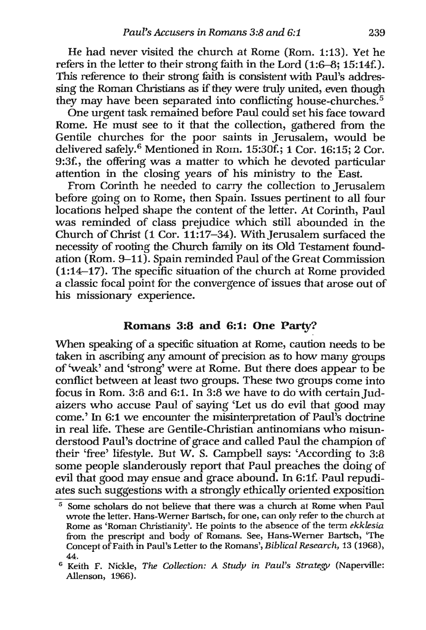He had never visited the church at Rome (Rom. 1:13). Yet he refers in the letter to their strong faith in the Lord  $(1:6-8; 15:14f)$ . This reference to their strong faith is consistent with Paul's addressing the Roman Christians as if they were truly united, even though they may have been separated into conflicting house-churches. 5

One urgent task remained before Paul could set his face toward Rome. He must see to it that the collection, gathered from the Gentile churches for the poor saints in Jerusalem, would be delivered safely. 6 Mentioned in Rom. 15:30f.; 1 Cor. 16:15; 2 Cor. 9:3f., the offering was a matter to which he devoted particular attention in the closing years of his ministry to the East.

From Corinth he needed to carry the collection to Jerusalem before going on to Rome, then Spain. Issues pertinent to all four locations helped shape the content of the letter. At Corinth, Paul was reminded of class prejudice which still abounded in the Church of Christ (1 Cor. 11:17-34). With Jerusalem surfaced the necessity of rooting the Church family on its Old Testament foundation (Rom. 9-11). Spain reminded Paul of the Great Commission  $(1:14-17)$ . The specific situation of the church at Rome provided a classic focal point for the convergence of issues that arose out of his missionary experience.

# Romans 3:8 and 6:1: One Party?

When speaking of a specific situation at Rome, caution needs to be taken in ascribing any amount of precision as to how many groups of 'weak' and 'strong' were at Rome. But there does appear to be conflict between at least two groups. These two groups come into focus in Rom. 3:8 and 6:1. In  $3:8$  we have to do with certain Judaizers who accuse Paul of saying 'Let us do evil that good may come.' In 6:1 we encounter the misinterpretation of Paul's doctrine in real life. These are Gentile-Christian antinomians who misunderstood Paul's doctrine of grace and called Paul the champion of their 'free' lifestyle. But W. S. Campbell says: 'According to 3:8 some people slanderously report that Paul preaches the doing of evil that good may ensue and grace abound. In 6:1f. Paul repudiates such suggestions with a strongly ethically oriented exposition

<sup>5</sup> Some scholars do not believe that there was a church at Rome when Paul wrote the letter. Hans-Werner Bartsch, for one, can only refer to the church at Rome as 'Roman Christianity'. He points to the absence of the term *ekklesia*  from the prescript and body of Romans. See, Hans~Werner Bartsch, 'The Concept of Faith in Paul's Letter to the Romans', *Biblical Research,* 13 (1968), 44.

<sup>&</sup>lt;sup>6</sup> Keith F. Nickle, *The Collection: A Study in Paul's Strategy* (Naperville: Allenson, 1966).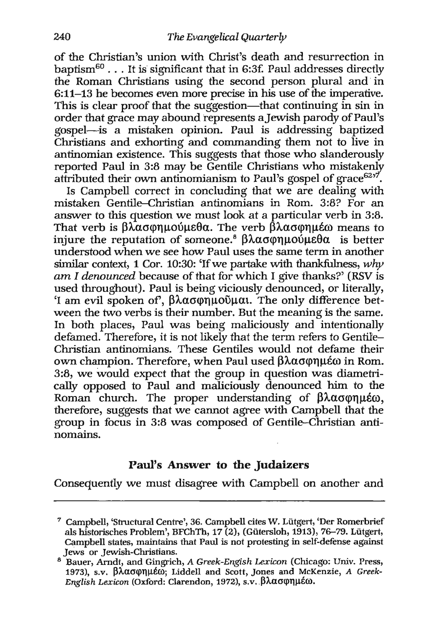of the Christian's union with Christ's death and resurrection in baptism $60$ ... It is significant that in 6:3f. Paul addresses directly the Roman Christians using the second person plural and in 6:11-13 he becomes even more precise in his use of the imperative. This is clear proof that the suggestion—that continuing in sin in order that grace may abound represents aJewish parody of Paul's gospel-is a mistaken opinion. Paul is addressing baptized Christians and exhorting and commanding them not to live in antinomian existence. This suggests that those who slanderously reported Paul in  $3:8$  may be Gentile Christians who mistakenly attributed their own antinomianism to Paul's gospel of grace $625$ .

Is Campbell correct in concluding that we are dealing with mistaken Gentile-Christian antinomians in Rom. 3:8? For an answer to this question we must look at a particular verb in 3:8. That verb is  $\beta\lambda\alpha\sigma\varphi\eta\mu\varphi\varphi\varphi$ . The verb  $\beta\lambda\alpha\sigma\varphi\eta\mu\epsilon\varphi$  means to injure the reputation of someone.<sup>8</sup>  $\beta\lambda\alpha\sigma\varphi\eta\mu o\varphi\mu\theta\alpha$  is better understood when we see how Paul uses the same term in another similar context, 1 Cor. 10:30: 'If we partake with thankfulness, *why am* I *denounced* because of that for which I give thanks?' (RSV is used throughout). Paul is being viciously denounced, or literally, 'I am evil spoken of',  $\beta\lambda\alpha\sigma\varphi\eta\mu\varphi\varphi\mu\alpha\iota$ . The only difference between the two verbs is their number. But the meaning is the same. In both places, Paul was being maliciously and intentionally defamed. Therefore, it is not likely that the term refers to Gentile-Christian antinomians. These Gentiles would not defame their own champion. Therefore, when Paul used βλασφημέω in Rom. 3:8, we would expect that the group in question was diametrically opposed to Paul and maliciously denounced him to the Roman church. The proper understanding of  $\beta\lambda\alpha\sigma\varphi\eta\mu\epsilon\omega$ , therefore, suggests that we cannot agree with Campbell that the group in focus in 3:8 was composed of Gentile-Christian antinomains.

# **Paul's Answer to the Judaizers**

Consequently we must disagree with Campbell on another and

<sup>7</sup> Campbell, 'Structural Centre', 36.Campbell cites W. Liitgert, 'Der Romerbrief als historisches Problem', BFChTh, 17 (2), (Gütersloh, 1913), 76-79. Lütgert, Campbell states, maintains that Paul is not protesting in self-defense against Jews or Jewish-Christians.

<sup>8</sup> Bauer, Arndt, and Gingrich, *A Greek-Engish Lexicon* (Chicago: Univ. Press, 1973), s.v. βλασφημέω; Liddell and Scott, Jones and McKenzie, *A Greek-English Lexicon* (Oxford: Clarendon, 1972), s.v. βλασφημέω.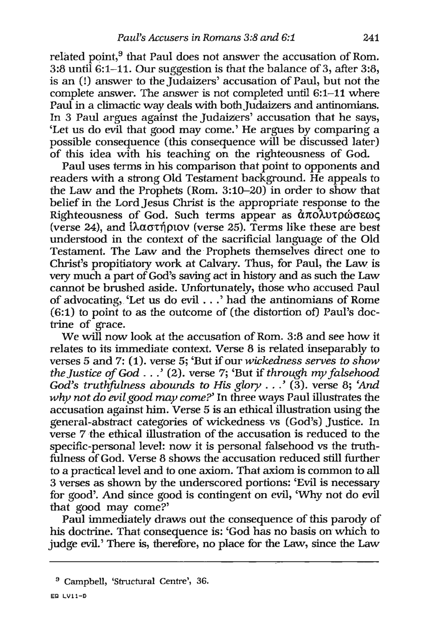related point,<sup>9</sup> that Paul does not answer the accusation of Rom. 3:8 until 6:1–11. Our suggestion is that the balance of 3, after 3:8, is an (l) answer to the Judaizers' accusation of Paul, but not the complete answer. The answer is not completed until 6:1-11 where Paul in a climactic way deals with both Judaizers and antinomians. In 3 Paul argues against the Judaizers' accusation that he says, 'Let us do evil that good may come.' He argues by comparing a possible consequence (this consequence will be discussed later) of this idea with his teaching on the righteousness of God.

Paul uses terms in his comparison that point to opponents and readers with a strong Old Testament background. He appeals to the Law and the Prophets (Rom. 3:10-20) in order to show that belief in the Lord Jesus Christ is the appropriate response to the Righteousness of God. Such terms appear as  $\hat{\alpha}\pi\hat{o\lambda}$  utproaces (verse 24), and  $\hat{i} \lambda \alpha \sigma \hat{i} \rho i \rho \hat{j}$  (verse 25). Terms like these are best understood in. the context of the sacrificial language of the Old Testament. The Law and the Prophets themselves direct one to Christ's propitiatory work at Calvary. Thus, for Paul, the Law is *very* much a part of God's saving act in history and as such the Law cannot be brushed aside. Unfortunately, those who accused Paul of advocating, 'Let us do evil . . .' had the antinomians of Rome (6:1) to point to as the outcome of (the distortion of) Paul's doctrine of grace.

We will now look at the accusation of Rom. 3:8 and see how it relates to its immediate context. Verse 8 is related inseparably to verses5 and 7: (1). verse 5; 'But if our *wickedness serves* to *show the Justice of God .* . .' (2). verse 7; 'But if *through my falsehood God's truthfulness abounds* to *His glory* .. .' (3). verse 8; *'And why not do evil good may come?'* In three ways Paul illustrates the accusation against him. Verse 5 is an ethical illustration using the general-abstract categories of wickedness vs (God's) Justice. In verse 7 the ethical illustration of the accusation is. reduced to the specific-personal level: now it is personal falsehood vs the truthfulness of God. Verse 8 shows the accusation reduced still further to a practical level and to one axiom. That axiom is common to all 3 verses as shown by the underscored portions: 'Evil is necessary for good'. And since good is contingent on evil, 'Why not do evil that good may come?'

Paul immediately draws out the consequence of this parody of his doctrine. That consequence is: 'God has no basis on which to judge evil.' There is, therefore, no place for the Law, since the Law

<sup>9</sup> Campbell, 'Structural Centre', 36.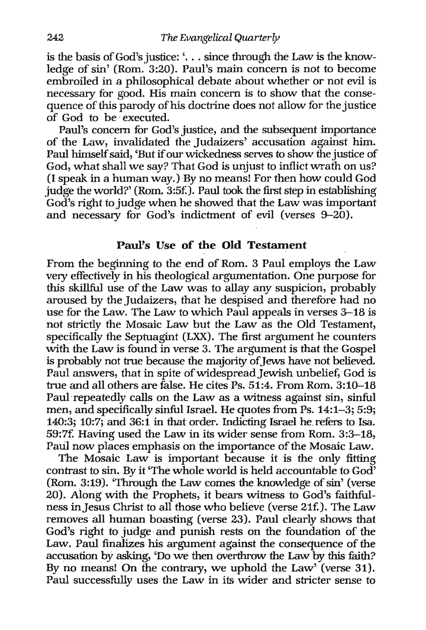is the basis of God's justice: '... since through the Law is the knowledge of sin' (Rom. 3:20). Paul's main concern is not to become embroiled in a philosophical debate about whether or not evil is necessary for good. His main concern is to show that the consequence of this parody of his doctrine does not allow for the justice of God to be -executed.

Paul's concern for God's justice, and the subsequent importance of the Law, invalidated the Judaizers' accusation against him. Paul himself said, 'But if our wickedness serves to show the justice of God, what shall we say? That God is unjust to inflict wrath on us? (I speak in a human way.) By no means! For then how could God judge the world?' (Rom. 3:5f.). Paul took the first step in establishing God's right to judge when he showed that the Law was important and necessary for God's indictment of evil (verses  $9-20$ ).

### Paul's Use of the **Old Testament**

From the beginning to the end of Rom. 3 Paul employs the Law very effectively in his theological argumentation. One purpose for this skillful use of the Law was to allay any suspicion, probably aroused by the Judaizers, that he despised and therefore had no use for the Law. The Law to which Paul appeals in verses 3--18 is not strictly the Mosaic Law but the Law as the Old Testament, specifically the Septuagint (LXX). The first argument he counters with the Law is found in verse 3. The argument is that the Gospel is probably not true because the majority of Jews have not believed. Paul answers, that in spite of widespread Jewish unbelief, God is true and all others are false. He cites Ps. 51:4. From Rom. 3:10–18 Paul repeatedly calls on the Law as a witness against sin, sinful men, and specifically sinful Israel. He quotes from Ps. 14:1-3; 5:9; 140:3; 10:7; and 36:1 in that order. Indicting Israel he refers to Isa. 59:7f. Having used the Law in its wider sense from Rom. 3:3--18, Paul now places emphasis on the importance of the Mosaic Law.

The Mosaic Law is important because it is the only fitting contrast to sin. By it 'The whole world is held accountable to God' (Rom. 3:19). 'Through the Law comes the knowledge of sin' (verse 20). Along with the Prophets, it bears witness to God's faithfulness in Jesus Christ to all those who believe (verse 21f.). The Law removes all human boasting (verse 23). Paul clearly shows that God's right to judge and punish rests on the foundation of the Law. Paul finalizes his argument against the consequence of the accusation by asking, 'Do we then overthrow the Law by this faith? By no means! On the contrary, we uphold the Law' (verse 31). Paul successfully uses the Law in its wider and stricter sense to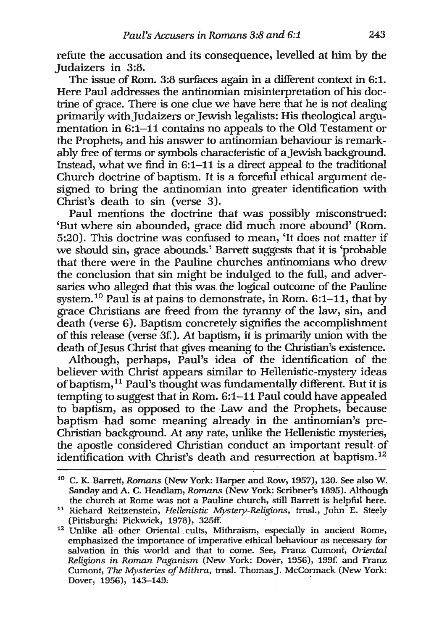refute the accusation and its consequence, levelled at him by the Judaizers in 3:8.

The issue of Rom. 3:8 surfaces again in a different context in 6:1. Here Paul addresses the antinomian misinterpretation of his doctrine of grace. There is one clue we have here that he is not dealing primarily with Judaizers or Jewish legalists: His theological argumentation in 6:1-11 contains no appeals to the Old Testament or the Prophets, and his answer to antinomian behaviour is remarkably free of terms or symbols characteristic of a Jewish background. Instead, what we find in 6:1-11 is a direct appeal to the traditional Church doctrine of baptism. It is a forceful ethical argument designed to bring the antinomian into greater identification with Christ's death to sin (verse 3).

Paul mentions the doctrine that was possibly misconstrued: 'But where sin abounded, grace did much more abound' (Rom. 5:20). This doctrine was confused to mean, 'It does not matter if we should sin, grace abounds.' Barrett suggests that it is 'probable that there were in the Pauline churches antinomians who drew the conclusion that sin might be indulged to the. full, and adversaries who alleged that this was. the logical outcome of the Pauline system.<sup>10</sup> Paul is at pains to demonstrate, in Rom. 6:1-11, that by grace Christians are freed from the tyranny of the law, sin, and death (verse 6). Baptism concretely signifies the accomplishment of this release (verse '3£). At baptism, it is primarily union with the death of Jesus Christ that gives meaning to the Christian's existence.

Although, perhaps, Paul's idea of the identification of the believer with Christ appears similar to Hellenistic-mystery ideas of baptism, 11 Paul's thought was fundamentally different. But it is tempting to suggest that in Rom. 6:1-11 Paul could have appealed to baptism, as opposed to the Law and the Prophets, because baptism had some meaning already in the antinomian's pre-Christian background. At any rate, unlike the Hellenistic mysteries, the apostle considered Christian conduct an important result of identification with Christ's death and resurrection at baptism. 12

<sup>10</sup> C. K. Barrett, *Romans* (New York: Harper and Row, 1957), 120. See also W. Sanday and A. C. Headlam, *Romans* (New York: ScIibner's 1895). Although the church at Rome was not a Pauline church, still Barrett is helpful here.

<sup>&</sup>lt;sup>11</sup> Richard Reitzenstein, *Hellenistic Mystery-Religions*, trnsl., John E. Steely (Pittsburgh: Pickwick, 1978), 325ff.

 $12$  Unlike all other Oriental cults, Mithraism, especially in ancient Rome, emphasized the importance of imperative. ethical behaviour as necessary for salvation in this world and that to come. See, Franz Cumont, *Oriental Religions in Roman Paganism* (New York: Dover, 1956), 199f. and Franz Cumont, *The Mysteries of Mithra*, trnsl. Thomas J. McCormack (New York: Dover, 1956), 143-149.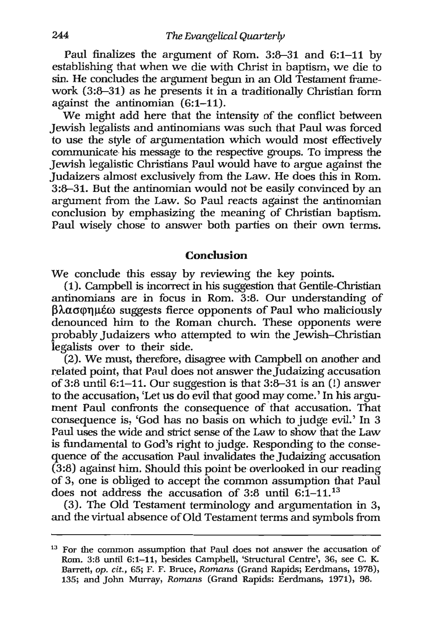Paul finalizes the argument of Rom. 3:8-31 and 6:1-11 by establishing that when we die with Christ in baptism, we die to sin. He concludes the argument begun in an Old Testament framework (3:8-31) as he presents it in a traditionally Christian form against the antinomian (6:1-11).

We might add here that the intensity of the conflict between Jewish legalists and antinomians was such that Paul was forced to use the style of argumentation which would most effectively communicate his message to the respective groups. To impress the Jewish legalistic Christians Paul would have to argue against the Judaizers almost exclusively from the Law. He does this in Rom. 3:8-31. But the antinomian would not be easily convinced by an argument from the Law. So Paul reacts against the antinomian conclusion by emphasizing the meaning of Christian baptism. Paul wisely chose to answer both parties on their own terms.

### **Conclusion**

We conclude this essay by reviewing the key points.

(1). Campbell is incorrect in his suggestion that Gentile-Christian antinomians are in focus in Rom. 3:8. Our understanding of  $\beta\lambda\alpha\sigma\varphi\eta\mu\epsilon\omega$  suggests fierce opponents of Paul who maliciously denounced him to the Roman church. These opponents were probably Judaizers who attempted to win the Jewish-Christian legalists over to their side.

(2). We must, therefore, disagree with Campbell on another and related point, that Paul does not answer the Judaizing accusation of  $3:8$  until  $6:1-11$ . Our suggestion is that  $3:8-31$  is an  $(!)$  answer to the accusation, 'Let us do evil that good may come.' In his argument Paul confronts the consequence of that accusation. That consequence is, 'God has no basis on which to judge evil.' In 3 Paul uses the wide and strict sense of the Law to show that the Law is fundamental to God's right to judge. Responding to the consequence of the accusation Paul invalidates the Judaizing accusation (3:8) against him. Should this point be overlooked in our reading of 3, one is obliged to accept the common assumption that Paul does not address the accusation of 3:8 until  $6:1-11$ .<sup>13</sup>

(3). The Old Testament terminology and argumentation in 3, and the virtual absence of Old Testament terms and symbols from

<sup>&</sup>lt;sup>13</sup> For the common assumption that Paul does not answer the accusation of Rom. 3:8 until 6:1-11, besides Campbell, 'Structural Centre', 36, see C. K. Barrett, *op. cit.,* 65; F. F. Bruce, *Romans* (Grand Rapids; Eerdmans, 1978), 135; and John Murray, *Romans* (Grand Rapids: Eerdmans, 1971), 98.